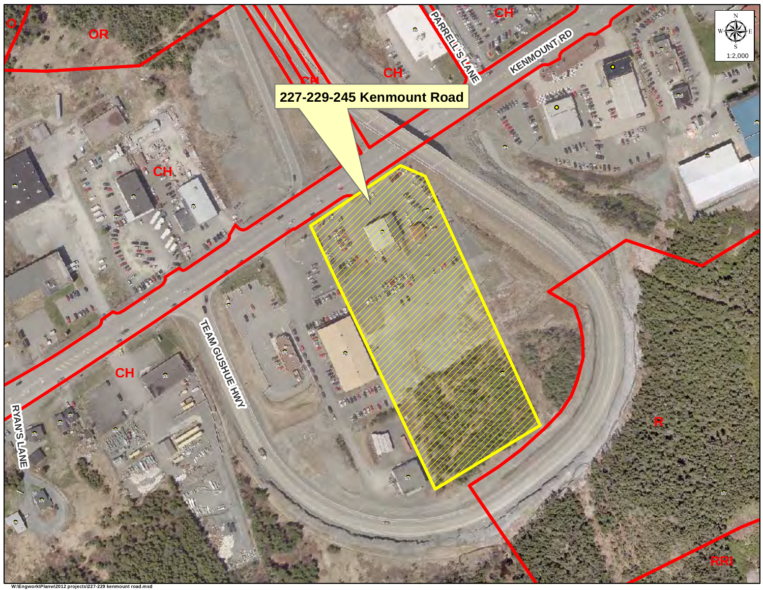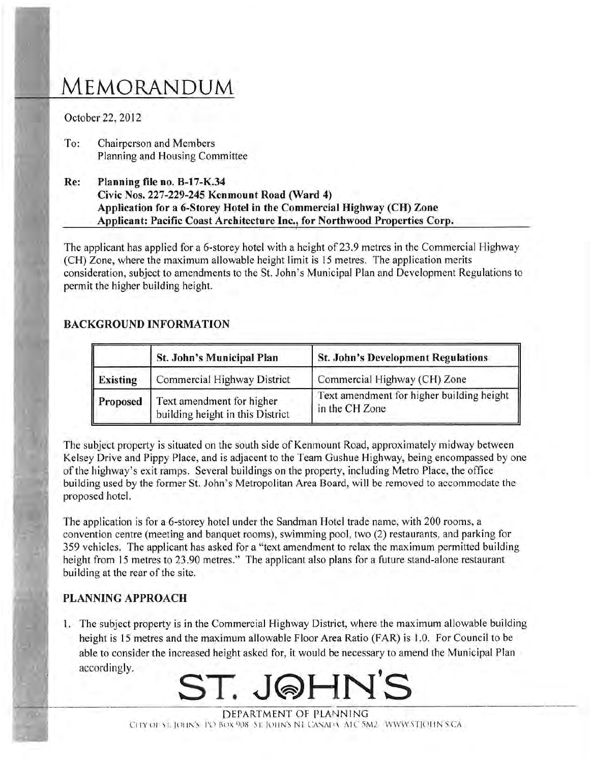# MEMORANDUM

October 22, 2012

- To: Chairperson and Members Planning and Housing Committee
- Planning file no. B-17-K.34 Re: Civic Nos. 227-229-245 Kenmount Road (Ward 4) Application for a 6-Storey Hotel in the Commercial Highway (CH) Zone Applicant: Pacific Coast Architecture Inc., for Northwood Properties Corp.

The applicant has applied for a 6-storey hotel with a height of 23.9 metres in the Commercial Highway (CH) Zone, where the maximum allowable height limit is 15 metres. The application merits consideration, subject to amendments to the St. John's Municipal Plan and Development Regulations to permit the higher building height.

### **BACKGROUND INFORMATION**

|                 | St. John's Municipal Plan                                     | <b>St. John's Development Regulations</b>                   |
|-----------------|---------------------------------------------------------------|-------------------------------------------------------------|
| Existing        | Commercial Highway District                                   | Commercial Highway (CH) Zone                                |
| <b>Proposed</b> | Text amendment for higher<br>building height in this District | Text amendment for higher building height<br>in the CH Zone |

The subject property is situated on the south side of Kenmount Road, approximately midway between Kelsey Drive and Pippy Place, and is adjacent to the Team Gushue Highway, being encompassed by one of the highway's exit ramps. Several buildings on the property, including Metro Place, the office building used by the former St. John's Metropolitan Area Board, will be removed to accommodate the proposed hotel.

The application is for a 6-storey hotel under the Sandman Hotel trade name, with 200 rooms, a convention centre (meeting and banquet rooms), swimming pool, two (2) restaurants, and parking for 359 vehicles. The applicant has asked for a "text amendment to relax the maximum permitted building height from 15 metres to 23.90 metres." The applicant also plans for a future stand-alone restaurant building at the rear of the site.

## **PLANNING APPROACH**

1. The subject property is in the Commercial Highway District, where the maximum allowable building height is 15 metres and the maximum allowable Floor Area Ratio (FAR) is 1.0. For Council to be able to consider the increased height asked for, it would be necessary to amend the Municipal Plan accordingly.



DEPARTMENT OF PLANNING CITY OF ST. JOHN'S PO BOX 908 ST. JOHN'S NI CANADA ATC 5M2. WWW.STJOHN'S CA.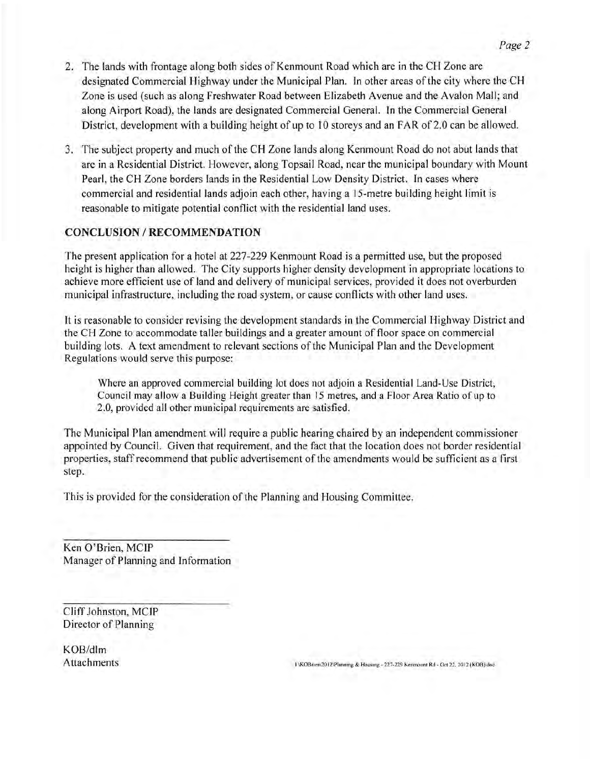- 2. The lands with frontage along both sides of Kenmount Road which are in the CH Zone are designated Commercial Highway under the Municipal Plan. In other areas of the city where the CH Zone is used (such as along Freshwater Road between Elizabeth Avenue and the Avalon Mall; and along Airport Road), the lands are designated Commercial General. In the Commercial General District, development with a building height of up to 10 storeys and an FAR of 2.0 can be allowed.
- 3. The subject property and much of the CH Zone lands along Kenmount Road do not abut lands that are in a Residential District. However, along Topsail Road, near the municipal boundary with Mount Pearl, the CH Zone borders lands in the Residential Low Density District. In cases where commercial and residential lands adjoin each other, having a 15-metre building height limit is reasonable to mitigate potential conflict with the residential land uses.

#### **CONCLUSION / RECOMMENDATION**

The present application for a hotel at 227-229 Kenmount Road is a permitted use, but the proposed height is higher than allowed. The City supports higher density development in appropriate locations to achieve more efficient use of land and delivery of municipal services, provided it does not overburden municipal infrastructure, including the road system, or cause conflicts with other land uses.

It is reasonable to consider revising the development standards in the Commercial Highway District and the CH Zone to accommodate taller buildings and a greater amount of floor space on commercial building lots. A text amendment to relevant sections of the Municipal Plan and the Development Regulations would serve this purpose:

Where an approved commercial building lot does not adjoin a Residential Land-Use District, Council may allow a Building Height greater than 15 metres, and a Floor Area Ratio of up to 2.0, provided all other municipal requirements are satisfied.

The Municipal Plan amendment will require a public hearing chaired by an independent commissioner appointed by Council. Given that requirement, and the fact that the location does not border residential properties, staff recommend that public advertisement of the amendments would be sufficient as a first step.

This is provided for the consideration of the Planning and Housing Committee.

Ken O'Brien, MCIP Manager of Planning and Information

Cliff Johnston, MCIP Director of Planning

 $KOB/dlm$ **Attachments** 

1 KOBrien 2012\Planning & Housing - 227-229 Kenmount Rd - Oct 22, 2012 (KOB) doc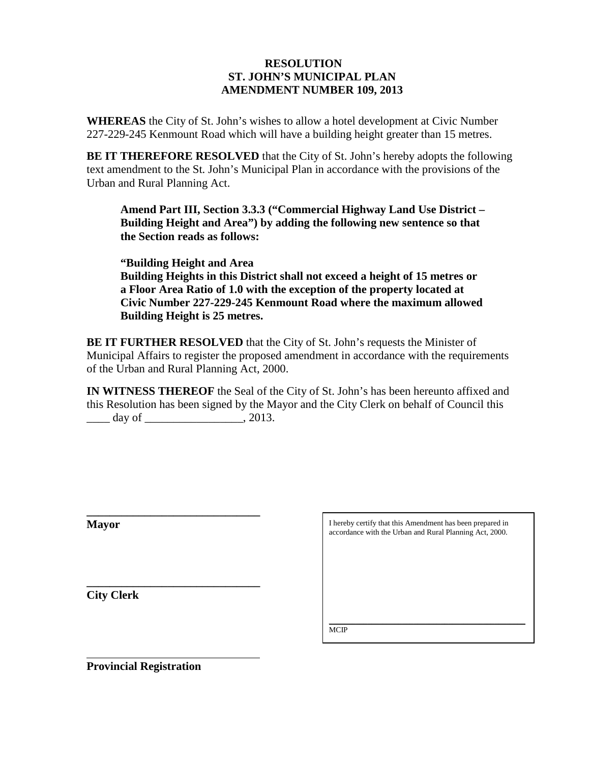#### **RESOLUTION ST. JOHN'S MUNICIPAL PLAN AMENDMENT NUMBER 109, 2013**

**WHEREAS** the City of St. John's wishes to allow a hotel development at Civic Number 227-229-245 Kenmount Road which will have a building height greater than 15 metres.

**BE IT THEREFORE RESOLVED** that the City of St. John's hereby adopts the following text amendment to the St. John's Municipal Plan in accordance with the provisions of the Urban and Rural Planning Act.

**Amend Part III, Section 3.3.3 ("Commercial Highway Land Use District – Building Height and Area") by adding the following new sentence so that the Section reads as follows:**

**"Building Height and Area Building Heights in this District shall not exceed a height of 15 metres or a Floor Area Ratio of 1.0 with the exception of the property located at Civic Number 227-229-245 Kenmount Road where the maximum allowed Building Height is 25 metres.**

**BE IT FURTHER RESOLVED** that the City of St. John's requests the Minister of Municipal Affairs to register the proposed amendment in accordance with the requirements of the Urban and Rural Planning Act, 2000.

**IN WITNESS THEREOF** the Seal of the City of St. John's has been hereunto affixed and this Resolution has been signed by the Mayor and the City Clerk on behalf of Council this  $\frac{day}{f}$  day of  $\frac{2013}{f}$ 

**Mayor** 

I hereby certify that this Amendment has been prepared in accordance with the Urban and Rural Planning Act, 2000.

**\_\_\_\_\_\_\_\_\_\_\_\_\_\_\_\_\_\_\_\_\_\_\_\_\_\_\_\_\_\_ City Clerk**

 $\overline{a}$ 

 $\overline{\phantom{a}}$  , which is a set of the set of the set of the set of the set of the set of the set of the set of the set of the set of the set of the set of the set of the set of the set of the set of the set of the set of th M<sub>CI</sub>P

**Provincial Registration** 

**\_\_\_\_\_\_\_\_\_\_\_\_\_\_\_\_\_\_\_\_\_\_\_\_\_\_\_\_\_\_**